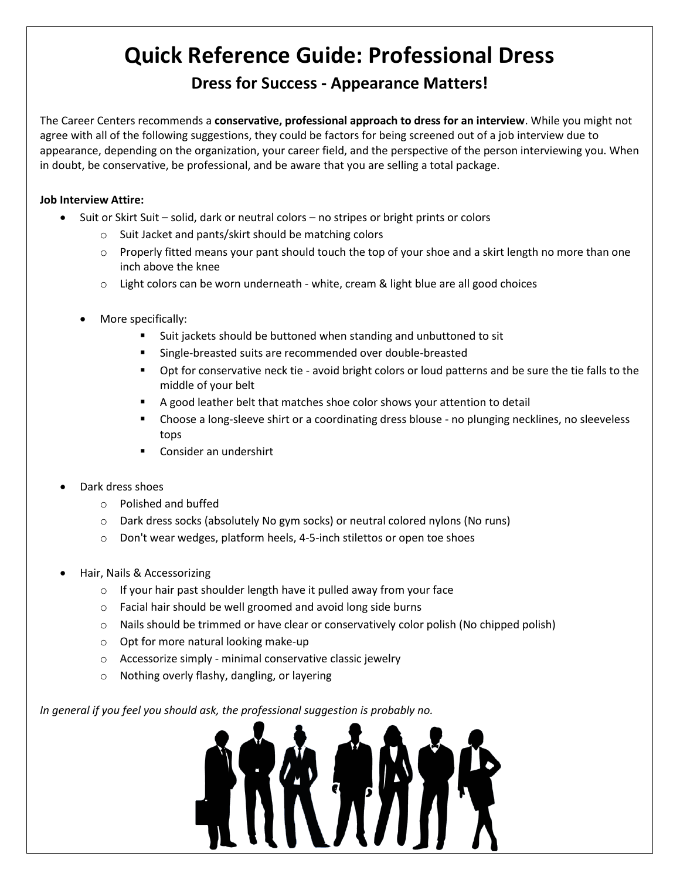# **Quick Reference Guide: Professional Dress**

## **Dress for Success - Appearance Matters!**

The Career Centers recommends a **conservative, professional approach to dress for an interview**. While you might not agree with all of the following suggestions, they could be factors for being screened out of a job interview due to appearance, depending on the organization, your career field, and the perspective of the person interviewing you. When in doubt, be conservative, be professional, and be aware that you are selling a total package.

### **Job Interview Attire:**

- Suit or Skirt Suit solid, dark or neutral colors no stripes or bright prints or colors
	- o Suit Jacket and pants/skirt should be matching colors
	- $\circ$  Properly fitted means your pant should touch the top of your shoe and a skirt length no more than one inch above the knee
	- $\circ$  Light colors can be worn underneath white, cream & light blue are all good choices
	- More specifically:
		- Suit jackets should be buttoned when standing and unbuttoned to sit
		- Single-breasted suits are recommended over double-breasted
		- Opt for conservative neck tie avoid bright colors or loud patterns and be sure the tie falls to the middle of your belt
		- A good leather belt that matches shoe color shows your attention to detail
		- **EX Choose a long-sleeve shirt or a coordinating dress blouse no plunging necklines, no sleeveless** tops
		- Consider an undershirt
- Dark dress shoes
	- o Polished and buffed
	- o Dark dress socks (absolutely No gym socks) or neutral colored nylons (No runs)
	- o Don't wear wedges, platform heels, 4-5-inch stilettos or open toe shoes
- Hair, Nails & Accessorizing
	- $\circ$  If your hair past shoulder length have it pulled away from your face
	- o Facial hair should be well groomed and avoid long side burns
	- $\circ$  Nails should be trimmed or have clear or conservatively color polish (No chipped polish)
	- o Opt for more natural looking make-up
	- o Accessorize simply minimal conservative classic jewelry
	- o Nothing overly flashy, dangling, or layering

*In general if you feel you should ask, the professional suggestion is probably no.*